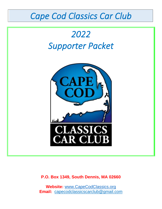# *Cape Cod Classics Car Club*





## **P.O. Box 1349, South Dennis, MA 02660**

**Website:** [www.CapeCodClassics.org](http://www.capecodclassics.org/) **Email:** capecodclassicscarclub@gmail.com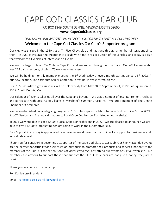# CAPE COD CLASSICS CAR CLUB

#### P.O BOX 1349, SOUTH DENNIS, MASSACHUSETTS 02660 **www. CapeCodClassics.org**

### *FIND US ON OUR WEBSITE OR ON FACEBOOK FOR UP-TO-DATE SCHEDULING INFO*  Welcome to the Cape Cod Classics Car Club's Supporter program!

Our club was started in the 1950's as a 'Tri-Five' Chevy club and has gone through a number of iterations since then. In 1980 it was again re-created into a club with a more relaxed vision of the vehicles, and today is a club that welcomes all vehicles of interest and all years.

We are the largest Classic Car Club on Cape Cod and are known throughout the State. Our 2021 membership was 229 paid members, of which 70 were new members!

We will be holding monthly member meeting the 1<sup>st</sup> Wednesday of every month starting January 5<sup>th</sup> 2022. At our new location. The Yarmouth Senior Center on Forest Rd. in West Yarmouth MA

Our 2022 Saturday Night Cruise-ins will be held weekly from May 28 to September 24, at Patriot Square on Rt-134 in South Dennis, MA.

Our calendar of events takes us all over the Cape and beyond. We visit a number of local Retirement Facilities and participate with Local Cape Villages & Merchant's summer Cruise-ins. We are a member of The Dennis Chamber of Commerce.

We have established two club giving programs: 1. Scholarships & Toolships to Cape Cod Technical School (CCT & UCT) Seniors and 2. annual donations to Local Cape Cod Nonprofits (listed on our website).

In 2021 we were able to gift \$4,500 to Local Cape Nonprofits and in 2022 - we are pleased to announce we are able to give \$4,500 to graduating seniors going to work in the automotive field.

Your Support in any way is appreciated. We have several different opportunities for support for businesses and individuals as well.

Thank you for considering becoming a Supporter of the Cape Cod Classics Car Club. Our highly attended events are the perfect opportunity for businesses or individuals to promote their products and services, not only to the members of the Club, but to the thousands of visitors who regularly attend our events or visit our web site. Club members are anxious to support those that support the Club. Classic cars are not just a hobby; they are a passion.

Thank you in advance for your support,

Ron Danielson– President

Email: [capecodclassicscarclub@gmail.com](mailto:capecodclassicscarclub@gmail.com)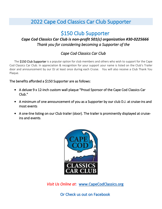# 2022 Cape Cod Classics Car Club Supporter

# \$150 Club Supporter

## *Cape Cod Classics Car Club is non-profit 501(c) organization #30-0225666 Thank you for considering becoming a Supporter of the*

### *Cape Cod Classics Car Club*

The \$150 Club Supporter is a popular option for club members and others who wish to support for the Cape Cod Classics Car Club. In appreciation & recognition for your support your name is listed on the Club's Trailer door and announcement by our DJ at least once during each Cruise. You will also receive a Club Thank You Plaque.

The benefits afforded a \$150 Supporter are as follows:

- A deluxe 9 x 12-inch custom wall plaque "Proud Sponsor of the Cape Cod Classics Car Club."
- A minimum of one announcement of you as a Supporter by our club D.J. at cruise-ins and most events
- A one-line listing on our Club trailer (door). The trailer is prominently displayed at cruiseins and events.



*Visit Us Online at*: [www.CapeCodClassics.org](http://www.capecodclassics.org/)

Or Check us out on Facebook